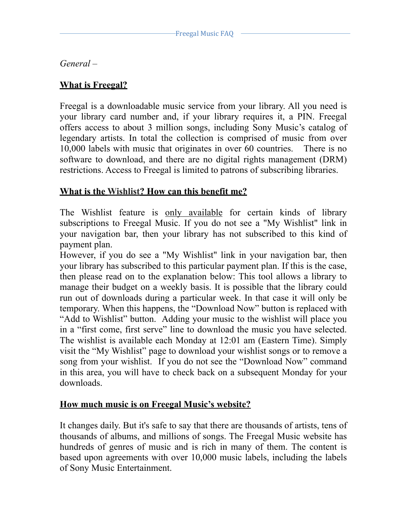*General* –

# **What is Freegal?**

Freegal is a downloadable music service from your library. All you need is your library card number and, if your library requires it, a PIN. Freegal offers access to about 3 million songs, including Sony Music's catalog of legendary artists. In total the collection is comprised of music from over 10,000 labels with music that originates in over 60 countries. There is no software to download, and there are no digital rights management (DRM) restrictions. Access to Freegal is limited to patrons of subscribing libraries.

## **What is the Wishlist? How can this benefit me?**

The Wishlist feature is only available for certain kinds of library subscriptions to Freegal Music. If you do not see a "My Wishlist" link in your navigation bar, then your library has not subscribed to this kind of payment plan.

However, if you do see a "My Wishlist" link in your navigation bar, then your library has subscribed to this particular payment plan. If this is the case, then please read on to the explanation below: This tool allows a library to manage their budget on a weekly basis. It is possible that the library could run out of downloads during a particular week. In that case it will only be temporary. When this happens, the "Download Now" button is replaced with "Add to Wishlist" button. Adding your music to the wishlist will place you in a "first come, first serve" line to download the music you have selected. The wishlist is available each Monday at 12:01 am (Eastern Time). Simply visit the "My Wishlist" page to download your wishlist songs or to remove a song from your wishlist. If you do not see the "Download Now" command in this area, you will have to check back on a subsequent Monday for your downloads.

## **How much music is on Freegal Music's website?**

It changes daily. But it's safe to say that there are thousands of artists, tens of thousands of albums, and millions of songs. The Freegal Music website has hundreds of genres of music and is rich in many of them. The content is based upon agreements with over 10,000 music labels, including the labels of Sony Music Entertainment.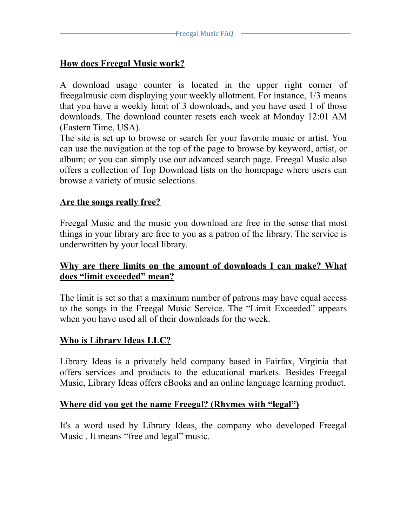# **How does Freegal Music work?**

A download usage counter is located in the upper right corner of freegalmusic.com displaying your weekly allotment. For instance, 1/3 means that you have a weekly limit of 3 downloads, and you have used 1 of those downloads. The download counter resets each week at Monday 12:01 AM (Eastern Time, USA).

The site is set up to browse or search for your favorite music or artist. You can use the navigation at the top of the page to browse by keyword, artist, or album; or you can simply use our advanced search page. Freegal Music also offers a collection of Top Download lists on the homepage where users can browse a variety of music selections.

## **Are the songs really free?**

Freegal Music and the music you download are free in the sense that most things in your library are free to you as a patron of the library. The service is underwritten by your local library.

## **Why are there limits on the amount of downloads I can make? What does "limit exceeded" mean?**

The limit is set so that a maximum number of patrons may have equal access to the songs in the Freegal Music Service. The "Limit Exceeded" appears when you have used all of their downloads for the week.

## **Who is Library Ideas LLC?**

Library Ideas is a privately held company based in Fairfax, Virginia that offers services and products to the educational markets. Besides Freegal Music, Library Ideas offers eBooks and an online language learning product.

### **Where did you get the name Freegal? (Rhymes with "legal")**

It's a word used by Library Ideas, the company who developed Freegal Music . It means "free and legal" music.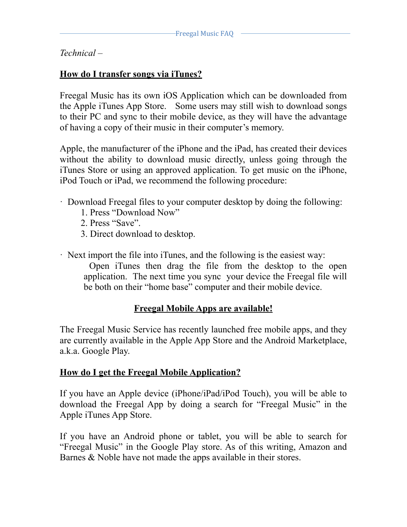### *Technical* –

## **How do I transfer songs via iTunes?**

Freegal Music has its own iOS Application which can be downloaded from the Apple iTunes App Store. Some users may still wish to download songs to their PC and sync to their mobile device, as they will have the advantage of having a copy of their music in their computer's memory.

Apple, the manufacturer of the iPhone and the iPad, has created their devices without the ability to download music directly, unless going through the iTunes Store or using an approved application. To get music on the iPhone, iPod Touch or iPad, we recommend the following procedure:

- · Download Freegal files to your computer desktop by doing the following:
	- 1. Press "Download Now"
	- 2. Press "Save".
	- 3. Direct download to desktop.
- · Next import the file into iTunes, and the following is the easiest way:

 Open iTunes then drag the file from the desktop to the open application. The next time you sync your device the Freegal file will be both on their "home base" computer and their mobile device.

#### **Freegal Mobile Apps are available!**

The Freegal Music Service has recently launched free mobile apps, and they are currently available in the Apple App Store and the Android Marketplace, a.k.a. Google Play.

### **How do I get the Freegal Mobile Application?**

If you have an Apple device (iPhone/iPad/iPod Touch), you will be able to download the Freegal App by doing a search for "Freegal Music" in the Apple iTunes App Store.

If you have an Android phone or tablet, you will be able to search for "Freegal Music" in the Google Play store. As of this writing, Amazon and Barnes & Noble have not made the apps available in their stores.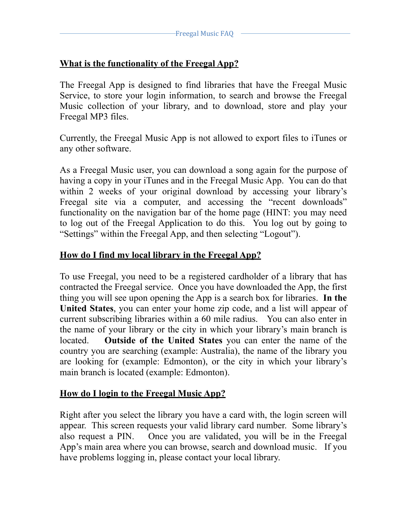# **What is the functionality of the Freegal App?**

The Freegal App is designed to find libraries that have the Freegal Music Service, to store your login information, to search and browse the Freegal Music collection of your library, and to download, store and play your Freegal MP3 files.

Currently, the Freegal Music App is not allowed to export files to iTunes or any other software.

As a Freegal Music user, you can download a song again for the purpose of having a copy in your iTunes and in the Freegal Music App. You can do that within 2 weeks of your original download by accessing your library's Freegal site via a computer, and accessing the "recent downloads" functionality on the navigation bar of the home page (HINT: you may need to log out of the Freegal Application to do this. You log out by going to "Settings" within the Freegal App, and then selecting "Logout").

# **How do I find my local library in the Freegal App?**

To use Freegal, you need to be a registered cardholder of a library that has contracted the Freegal service. Once you have downloaded the App, the first thing you will see upon opening the App is a search box for libraries. **In the United States**, you can enter your home zip code, and a list will appear of current subscribing libraries within a 60 mile radius. You can also enter in the name of your library or the city in which your library's main branch is located. **Outside of the United States** you can enter the name of the country you are searching (example: Australia), the name of the library you are looking for (example: Edmonton), or the city in which your library's main branch is located (example: Edmonton).

## **How do I login to the Freegal Music App?**

Right after you select the library you have a card with, the login screen will appear. This screen requests your valid library card number. Some library's also request a PIN. Once you are validated, you will be in the Freegal App's main area where you can browse, search and download music. If you have problems logging in, please contact your local library.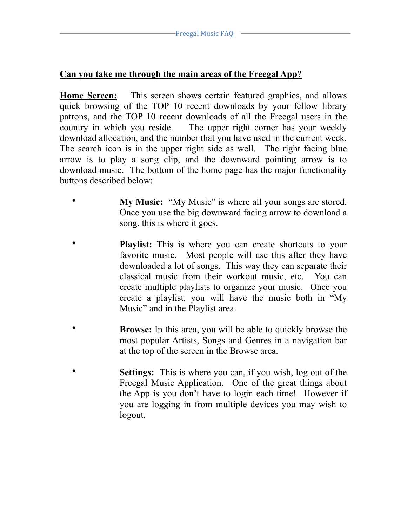## **Can you take me through the main areas of the Freegal App?**

**Home Screen:** This screen shows certain featured graphics, and allows quick browsing of the TOP 10 recent downloads by your fellow library patrons, and the TOP 10 recent downloads of all the Freegal users in the country in which you reside. The upper right corner has your weekly download allocation, and the number that you have used in the current week. The search icon is in the upper right side as well. The right facing blue arrow is to play a song clip, and the downward pointing arrow is to download music. The bottom of the home page has the major functionality buttons described below:

- **My Music:** "My Music" is where all your songs are stored. Once you use the big downward facing arrow to download a song, this is where it goes.
- **Playlist:** This is where you can create shortcuts to your favorite music. Most people will use this after they have downloaded a lot of songs. This way they can separate their classical music from their workout music, etc. You can create multiple playlists to organize your music. Once you create a playlist, you will have the music both in "My Music" and in the Playlist area.
- **Browse:** In this area, you will be able to quickly browse the most popular Artists, Songs and Genres in a navigation bar at the top of the screen in the Browse area.
- **Settings:** This is where you can, if you wish, log out of the Freegal Music Application. One of the great things about the App is you don't have to login each time! However if you are logging in from multiple devices you may wish to logout.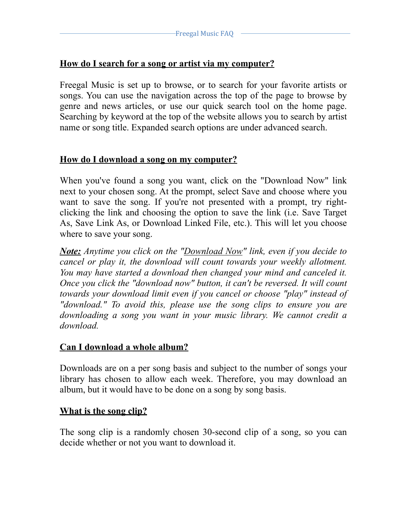## **How do I search for a song or artist via my computer?**

Freegal Music is set up to browse, or to search for your favorite artists or songs. You can use the navigation across the top of the page to browse by genre and news articles, or use our quick search tool on the home page. Searching by keyword at the top of the website allows you to search by artist name or song title. Expanded search options are under advanced search.

## **How do I download a song on my computer?**

When you've found a song you want, click on the "Download Now" link next to your chosen song. At the prompt, select Save and choose where you want to save the song. If you're not presented with a prompt, try rightclicking the link and choosing the option to save the link (i.e. Save Target As, Save Link As, or Download Linked File, etc.). This will let you choose where to save your song.

*Note: Anytime you click on the "Download Now" link, even if you decide to cancel or play it, the download will count towards your weekly allotment. You may have started a download then changed your mind and canceled it. Once you click the "download now" button, it can't be reversed. It will count towards your download limit even if you cancel or choose "play" instead of "download." To avoid this, please use the song clips to ensure you are downloading a song you want in your music library. We cannot credit a download.*

### **Can I download a whole album?**

Downloads are on a per song basis and subject to the number of songs your library has chosen to allow each week. Therefore, you may download an album, but it would have to be done on a song by song basis.

### **What is the song clip?**

The song clip is a randomly chosen 30-second clip of a song, so you can decide whether or not you want to download it.